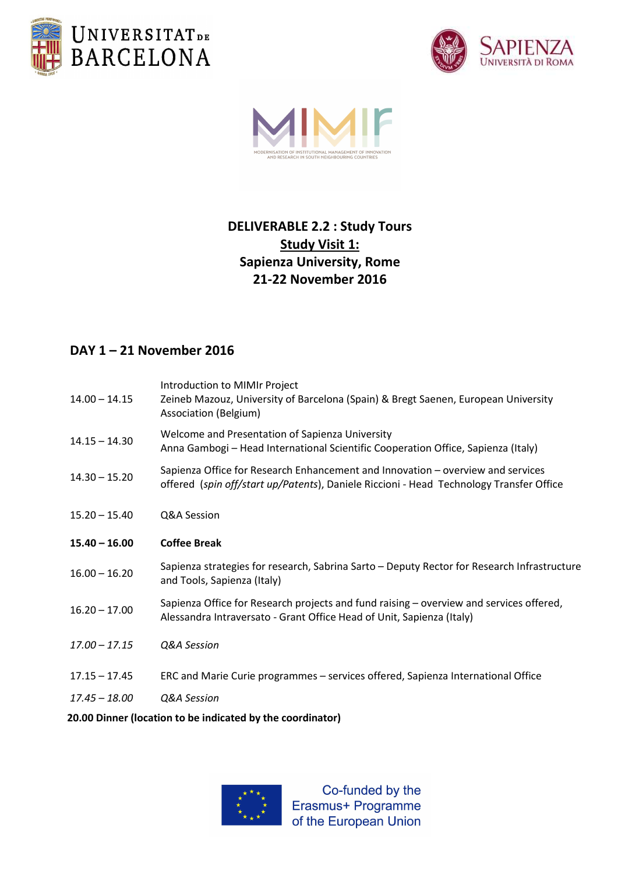





# DELIVERABLE 2.2 : Study Tours **Study Visit 1:** Sapienza University, Rome 21-22 November 2016

## DAY 1 – 21 November 2016

| $14.00 - 14.15$                                            | Introduction to MIMIr Project<br>Zeineb Mazouz, University of Barcelona (Spain) & Bregt Saenen, European University<br>Association (Belgium)                               |
|------------------------------------------------------------|----------------------------------------------------------------------------------------------------------------------------------------------------------------------------|
| $14.15 - 14.30$                                            | Welcome and Presentation of Sapienza University<br>Anna Gambogi - Head International Scientific Cooperation Office, Sapienza (Italy)                                       |
| $14.30 - 15.20$                                            | Sapienza Office for Research Enhancement and Innovation - overview and services<br>offered (spin off/start up/Patents), Daniele Riccioni - Head Technology Transfer Office |
| $15.20 - 15.40$                                            | Q&A Session                                                                                                                                                                |
| $15.40 - 16.00$                                            | <b>Coffee Break</b>                                                                                                                                                        |
| $16.00 - 16.20$                                            | Sapienza strategies for research, Sabrina Sarto - Deputy Rector for Research Infrastructure<br>and Tools, Sapienza (Italy)                                                 |
| $16.20 - 17.00$                                            | Sapienza Office for Research projects and fund raising - overview and services offered,<br>Alessandra Intraversato - Grant Office Head of Unit, Sapienza (Italy)           |
| $17.00 - 17.15$                                            | Q&A Session                                                                                                                                                                |
| $17.15 - 17.45$                                            | ERC and Marie Curie programmes - services offered, Sapienza International Office                                                                                           |
| $17.45 - 18.00$                                            | Q&A Session                                                                                                                                                                |
| 20.00 Dinner (location to be indicated by the coordinator) |                                                                                                                                                                            |



Co-funded by the Erasmus+ Programme of the European Union